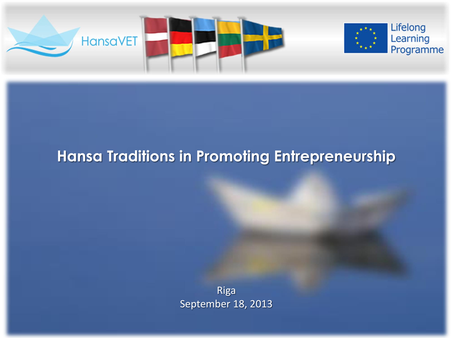

# **Hansa Traditions in Promoting Entrepreneurship**

Riga September 18, 2013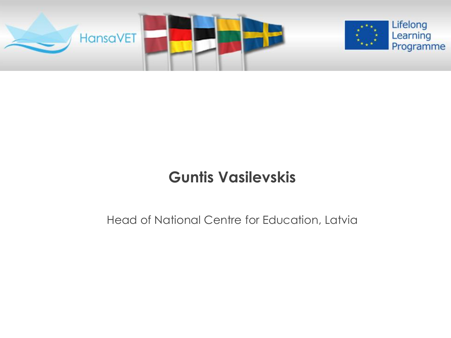

# **Guntis Vasilevskis**

#### Head of National Centre for Education, Latvia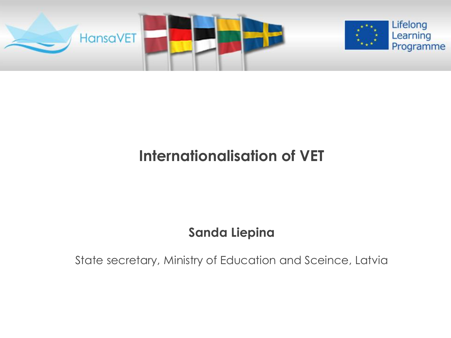

## **Internationalisation of VET**

### **Sanda Liepina**

State secretary, Ministry of Education and Sceince, Latvia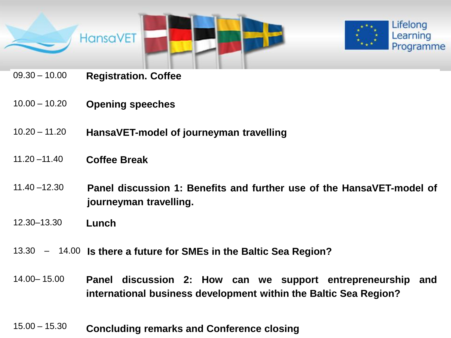

- 09.30 10.00 **Registration. Coffee**
- 10.00 10.20 **Opening speeches**
- **Today** 10.20 11.20 **HansaVET-model of journeyman travelling**
- 11.20 –11.40 **Coffee Break**
- 11.40 –12.30 **Panel discussion 1: Benefits and further use of the HansaVET-model of journeyman travelling.**
- 12.30–13.30 **Lunch**
- 13.30 14.00 **Is there a future for SMEs in the Baltic Sea Region?**
- 14.00– 15.00 **Panel discussion 2: How can we support entrepreneurship and international business development within the Baltic Sea Region?**
- 15.00 15.30 **Concluding remarks and Conference closing**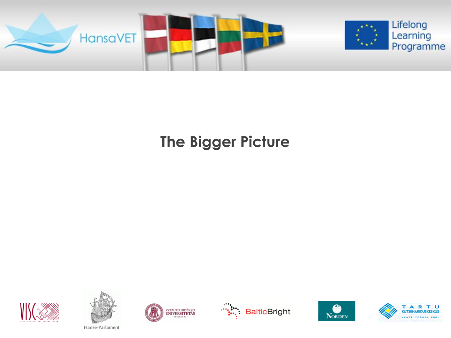

# **The Bigger Picture**













Hanse-Parlament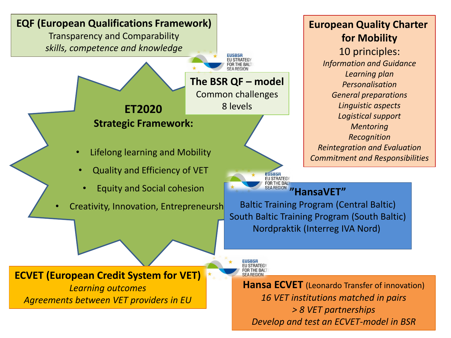

**European Quality Charter for Mobility** 10 principles: *Information and Guidance Learning plan Personalisation General preparations Linguistic aspects Logistical support Mentoring Recognition Reintegration and Evaluation Commitment and Responsibilities*

Baltic Training Program (Central Baltic) South Baltic Training Program (South Baltic) Nordpraktik (Interreg IVA Nord)

**Hansa ECVET** (Leonardo Transfer of innovation) *16 VET institutions matched in pairs > 8 VET partnerships Develop and test an ECVET-model in BSR*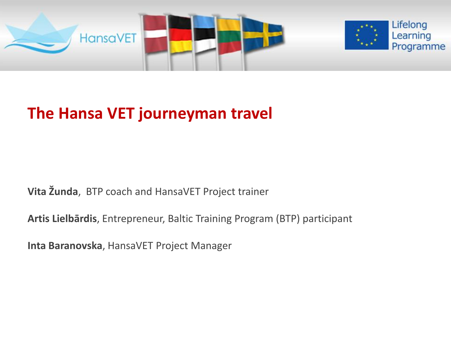

## **The Hansa VET journeyman travel**

**Vita Žunda**, BTP coach and HansaVET Project trainer

**Artis Lielbārdis**, Entrepreneur, Baltic Training Program (BTP) participant

**Inta Baranovska**, HansaVET Project Manager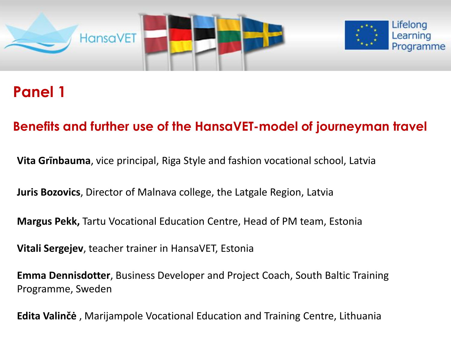

## **Panel 1**

#### **Benefits and further use of the HansaVET-model of journeyman travel**

**Vita Grīnbauma**, vice principal, Riga Style and fashion vocational school, Latvia

**Juris Bozovics**, Director of Malnava college, the Latgale Region, Latvia

**Margus Pekk,** Tartu Vocational Education Centre, Head of PM team, Estonia

**Vitali Sergejev**, teacher trainer in HansaVET, Estonia

**Emma Dennisdotter**, Business Developer and Project Coach, South Baltic Training Programme, Sweden

**Edita Valinčė** , Marijampole Vocational Education and Training Centre, Lithuania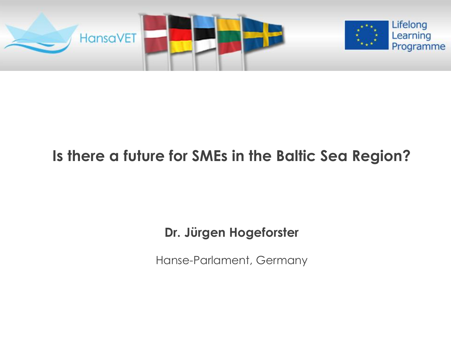

# **Is there a future for SMEs in the Baltic Sea Region?**

## **Dr. Jürgen Hogeforster**

Hanse-Parlament, Germany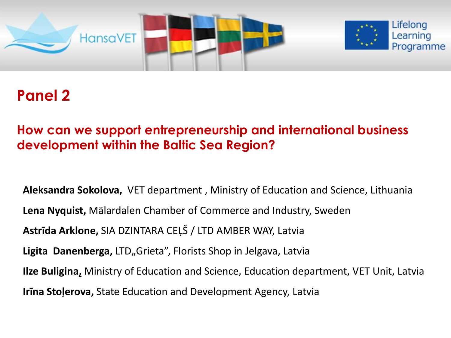

## **Panel 2**

#### **How can we support entrepreneurship and international business development within the Baltic Sea Region?**

**Aleksandra Sokolova,** VET department , Ministry of Education and Science, Lithuania **Lena Nyquist,** Mälardalen Chamber of Commerce and Industry, Sweden **Astrīda Arklone,** SIA DZINTARA CEĻŠ / LTD AMBER WAY, Latvia Ligita Danenberga, LTD<sub>n</sub>Grieta", Florists Shop in Jelgava, Latvia **Ilze Buligina,** Ministry of Education and Science, Education department, VET Unit, Latvia **Irīna Stoļerova,** State Education and Development Agency, Latvia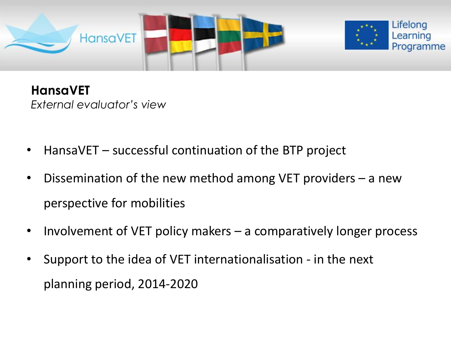

## **HansaVET**

*External evaluator's view*

- HansaVET successful continuation of the BTP project
- Dissemination of the new method among VET providers a new perspective for mobilities
- Involvement of VET policy makers a comparatively longer process
- Support to the idea of VET internationalisation in the next planning period, 2014-2020